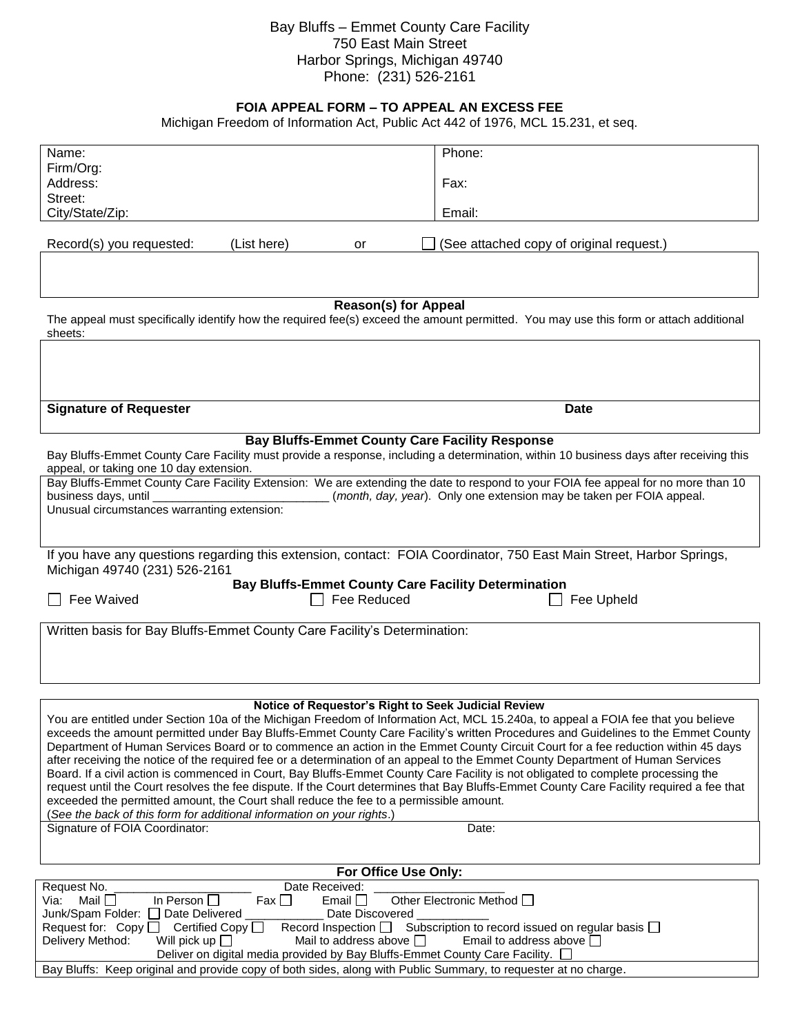## Bay Bluffs – Emmet County Care Facility 750 East Main Street Harbor Springs, Michigan 49740 Phone: (231) 526-2161

## **FOIA APPEAL FORM – TO APPEAL AN EXCESS FEE**

Michigan Freedom of Information Act, Public Act 442 of 1976, MCL 15.231, et seq.

| Name:                                                                                                                                                                                                                                                                | Phone:                                                                                 |
|----------------------------------------------------------------------------------------------------------------------------------------------------------------------------------------------------------------------------------------------------------------------|----------------------------------------------------------------------------------------|
| Firm/Org:                                                                                                                                                                                                                                                            |                                                                                        |
| Address:                                                                                                                                                                                                                                                             | Fax:                                                                                   |
| Street:                                                                                                                                                                                                                                                              |                                                                                        |
| City/State/Zip:                                                                                                                                                                                                                                                      | Email:                                                                                 |
| (List here)<br>Record(s) you requested:<br>or                                                                                                                                                                                                                        | (See attached copy of original request.)                                               |
|                                                                                                                                                                                                                                                                      |                                                                                        |
|                                                                                                                                                                                                                                                                      |                                                                                        |
| <b>Reason(s) for Appeal</b><br>The appeal must specifically identify how the required fee(s) exceed the amount permitted. You may use this form or attach additional<br>sheets:                                                                                      |                                                                                        |
|                                                                                                                                                                                                                                                                      |                                                                                        |
|                                                                                                                                                                                                                                                                      |                                                                                        |
|                                                                                                                                                                                                                                                                      |                                                                                        |
| <b>Signature of Requester</b>                                                                                                                                                                                                                                        | <b>Date</b>                                                                            |
|                                                                                                                                                                                                                                                                      |                                                                                        |
| <b>Bay Bluffs-Emmet County Care Facility Response</b><br>Bay Bluffs-Emmet County Care Facility must provide a response, including a determination, within 10 business days after receiving this<br>appeal, or taking one 10 day extension.                           |                                                                                        |
| Bay Bluffs-Emmet County Care Facility Extension: We are extending the date to respond to your FOIA fee appeal for no more than 10                                                                                                                                    |                                                                                        |
| business days, until<br>(month, day, year). Only one extension may be taken per FOIA appeal.                                                                                                                                                                         |                                                                                        |
| Unusual circumstances warranting extension:                                                                                                                                                                                                                          |                                                                                        |
|                                                                                                                                                                                                                                                                      |                                                                                        |
| If you have any questions regarding this extension, contact: FOIA Coordinator, 750 East Main Street, Harbor Springs,                                                                                                                                                 |                                                                                        |
|                                                                                                                                                                                                                                                                      |                                                                                        |
| Michigan 49740 (231) 526-2161                                                                                                                                                                                                                                        |                                                                                        |
| <b>Bay Bluffs-Emmet County Care Facility Determination</b>                                                                                                                                                                                                           |                                                                                        |
| Fee Waived<br>Fee Reduced                                                                                                                                                                                                                                            | Fee Upheld                                                                             |
|                                                                                                                                                                                                                                                                      |                                                                                        |
| Written basis for Bay Bluffs-Emmet County Care Facility's Determination:                                                                                                                                                                                             |                                                                                        |
|                                                                                                                                                                                                                                                                      |                                                                                        |
|                                                                                                                                                                                                                                                                      |                                                                                        |
|                                                                                                                                                                                                                                                                      |                                                                                        |
| Notice of Requestor's Right to Seek Judicial Review                                                                                                                                                                                                                  |                                                                                        |
| You are entitled under Section 10a of the Michigan Freedom of Information Act, MCL 15.240a, to appeal a FOIA fee that you believe                                                                                                                                    |                                                                                        |
| exceeds the amount permitted under Bay Bluffs-Emmet County Care Facility's written Procedures and Guidelines to the Emmet County<br>Department of Human Services Board or to commence an action in the Emmet County Circuit Court for a fee reduction within 45 days |                                                                                        |
| after receiving the notice of the required fee or a determination of an appeal to the Emmet County Department of Human Services                                                                                                                                      |                                                                                        |
| Board. If a civil action is commenced in Court, Bay Bluffs-Emmet County Care Facility is not obligated to complete processing the                                                                                                                                    |                                                                                        |
| request until the Court resolves the fee dispute. If the Court determines that Bay Bluffs-Emmet County Care Facility required a fee that                                                                                                                             |                                                                                        |
| exceeded the permitted amount, the Court shall reduce the fee to a permissible amount.                                                                                                                                                                               |                                                                                        |
| (See the back of this form for additional information on your rights.)<br>Signature of FOIA Coordinator:                                                                                                                                                             | Date:                                                                                  |
|                                                                                                                                                                                                                                                                      |                                                                                        |
|                                                                                                                                                                                                                                                                      |                                                                                        |
| For Office Use Only:<br>Date Received:<br>Request No.                                                                                                                                                                                                                |                                                                                        |
| Mail <b>□</b><br>In Person $\square$<br>Email $\Box$<br>Via:<br>Fax I I                                                                                                                                                                                              | Other Electronic Method [                                                              |
| Junk/Spam Folder:<br>□ Date Delivered<br>Date Discovered                                                                                                                                                                                                             |                                                                                        |
| Record Inspection $\square$<br>Request for: $Copy \Box$<br>Certified Copy $\Box$<br>Delivery Method:<br>Will pick up $\Box$<br>Mail to address above $\Box$                                                                                                          | Subscription to record issued on regular basis $\Box$<br>Email to address above $\Box$ |

Bay Bluffs: Keep original and provide copy of both sides, along with Public Summary, to requester at no charge.